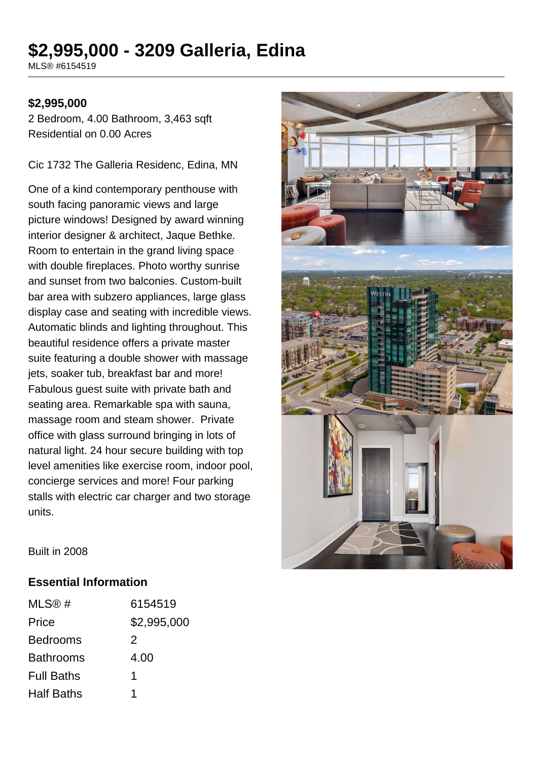# **\$2,995,000 - 3209 Galleria, Edina**

MLS® #6154519

### **\$2,995,000**

2 Bedroom, 4.00 Bathroom, 3,463 sqft Residential on 0.00 Acres

Cic 1732 The Galleria Residenc, Edina, MN

One of a kind contemporary penthouse with south facing panoramic views and large picture windows! Designed by award winning interior designer & architect, Jaque Bethke. Room to entertain in the grand living space with double fireplaces. Photo worthy sunrise and sunset from two balconies. Custom-built bar area with subzero appliances, large glass display case and seating with incredible views. Automatic blinds and lighting throughout. This beautiful residence offers a private master suite featuring a double shower with massage jets, soaker tub, breakfast bar and more! Fabulous guest suite with private bath and seating area. Remarkable spa with sauna, massage room and steam shower. Private office with glass surround bringing in lots of natural light. 24 hour secure building with top level amenities like exercise room, indoor pool, concierge services and more! Four parking stalls with electric car charger and two storage units.



Built in 2008

#### **Essential Information**

| MLS@#             | 6154519     |
|-------------------|-------------|
| Price             | \$2,995,000 |
| <b>Bedrooms</b>   | 2           |
| <b>Bathrooms</b>  | 4.00        |
| <b>Full Baths</b> | 1           |
| <b>Half Baths</b> |             |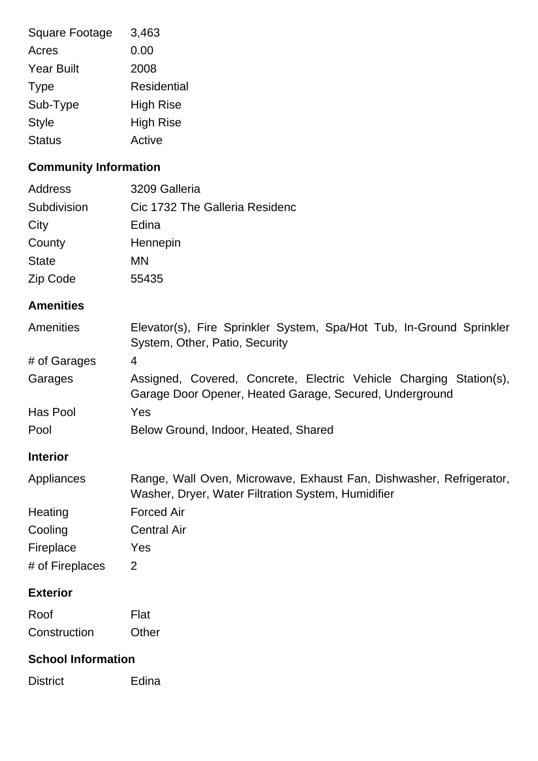| 3,463            |
|------------------|
| 0.00             |
| 2008             |
| Residential      |
| <b>High Rise</b> |
| <b>High Rise</b> |
| Active           |
|                  |

# **Community Information**

| Address      | 3209 Galleria                  |
|--------------|--------------------------------|
| Subdivision  | Cic 1732 The Galleria Residenc |
| City         | Edina                          |
| County       | Hennepin                       |
| <b>State</b> | MN                             |
| Zip Code     | 55435                          |

## **Amenities**

| <b>Amenities</b> | Elevator(s), Fire Sprinkler System, Spa/Hot Tub, In-Ground Sprinkler<br>System, Other, Patio, Security                        |
|------------------|-------------------------------------------------------------------------------------------------------------------------------|
| # of Garages     | 4                                                                                                                             |
| Garages          | Assigned, Covered, Concrete, Electric Vehicle Charging Station(s),<br>Garage Door Opener, Heated Garage, Secured, Underground |
| Has Pool         | Yes                                                                                                                           |
| Pool             | Below Ground, Indoor, Heated, Shared                                                                                          |
| <b>Interior</b>  |                                                                                                                               |
| Appliances       | Range, Wall Oven, Microwave, Exhaust Fan, Dishwasher, Refrigerator,<br>Washer, Dryer, Water Filtration System, Humidifier     |
| Heating          | <b>Forced Air</b>                                                                                                             |
| Cooling          | <b>Central Air</b>                                                                                                            |
| Fireplace        | Yes                                                                                                                           |
| # of Fireplaces  | 2                                                                                                                             |
| <b>Exterior</b>  |                                                                                                                               |
| Roof             | Flat                                                                                                                          |
| Construction     | Other                                                                                                                         |

### **School Information**

District Edina